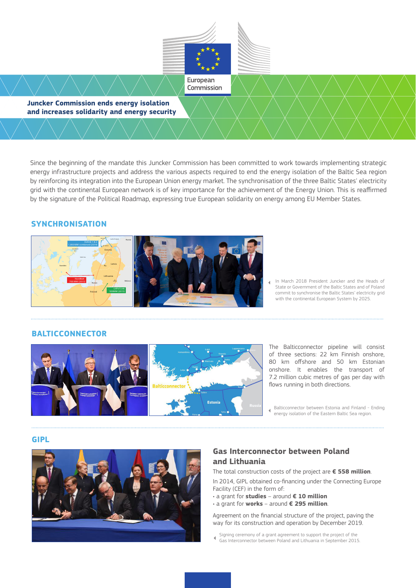

Since the beginning of the mandate this Juncker Commission has been committed to work towards implementing strategic energy infrastructure projects and address the various aspects required to end the energy isolation of the Baltic Sea region by reinforcing its integration into the European Union energy market. The synchronisation of the three Baltic States' electricity grid with the continental European network is of key importance for the achievement of the Energy Union. This is reaffirmed by the signature of the Political Roadmap, expressing true European solidarity on energy among EU Member States.

## **SYNCHRONISATION**



In March 2018 President Juncker and the Heads of State or Government of the Baltic States and of Poland commit to synchronise the Baltic States' electricity grid with the continental European System by 2025.

## **BALTICCONNECTOR**



The Balticconnector pipeline will consist of three sections: 22 km Finnish onshore, 80 km offshore and 50 km Estonian onshore. It enables the transport of 7.2 million cubic metres of gas per day with flows running in both directions.

Balticconnector between Estonia and Finland - Ending energy isolation of the Eastern Baltic Sea region.

#### **GIPL**



## **Gas Interconnector between Poland and Lithuania**

The total construction costs of the project are **€ 558 million**. In 2014, GIPL obtained co-financing under the Connecting Europe Facility (CEF) in the form of:

- a grant for **studies** around **€ 10 million**
- a grant for **works** around **€ 295 million**.

Agreement on the financial structure of the project, paving the way for its construction and operation by December 2019.

- Signing ceremony of a grant agreement to support the project of the  $\overline{4}$
- Gas Interconnector between Poland and Lithuania in September 2015.